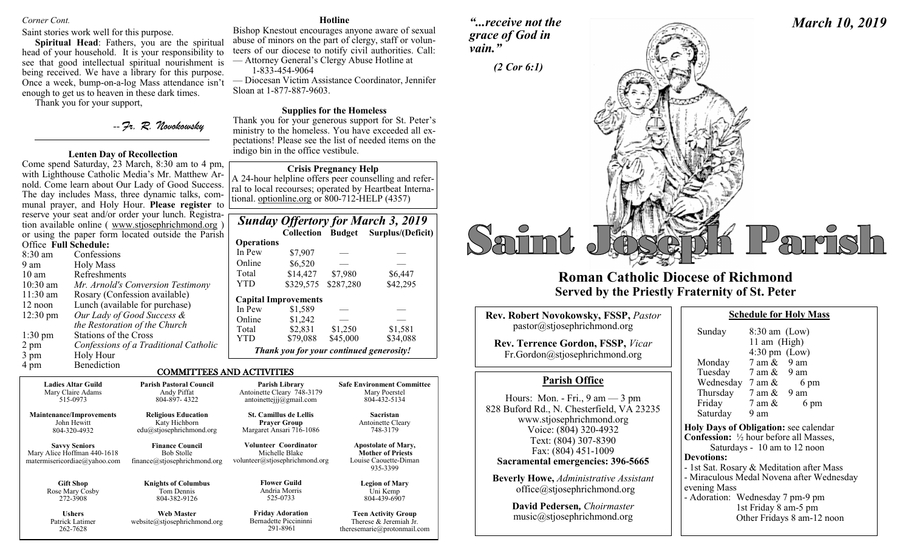# *Corner Cont.*

# Saint stories work well for this purpose.

**Spiritual Head**: Fathers, you are the spiritual head of your household. It is your responsibility to see that good intellectual spiritual nourishment is being received. We have a library for this purpose. Once a week, bump-on-a-log Mass attendance isn't enough to get us to heaven in these dark times.

Thank you for your support,

# -- *Fr. R. Novokowsky*

# **Lenten Day of Recollection**

Come spend Saturday, 23 March, 8:30 am to 4 pm, with Lighthouse Catholic Media's Mr. Matthew Arnold. Come learn about Our Lady of Good Success. The day includes Mass, three dynamic talks, communal prayer, and Holy Hour. **Please register** to reserve your seat and/or order your lunch. Registration available online ( www.stjosephrichmond.org ) or using the paper form located outside the Parish

| Office Full Schedule: |                                       |
|-----------------------|---------------------------------------|
| $8:30 \text{ am}$     | Confessions                           |
| 9 am                  | Holy Mass                             |
| $10 \text{ am}$       | <b>Refreshments</b>                   |
| 10:30 am              | Mr. Arnold's Conversion Testimony     |
| 11:30 am              | Rosary (Confession available)         |
| 12 noon               | Lunch (available for purchase)        |
| $12:30 \text{ pm}$    | Our Lady of Good Success &            |
|                       | the Restoration of the Church         |
| $1:30 \text{ pm}$     | Stations of the Cross                 |
| 2 pm                  | Confessions of a Traditional Catholic |
| 3 pm                  | Holy Hour                             |
| 4 pm                  | <b>Benediction</b>                    |
|                       | СОММТТ                                |

262-7628

### **Hotline**

Bishop Knestout encourages anyone aware of sexual abuse of minors on the part of clergy, staff or volunteers of our diocese to notify civil authorities. Call: — Attorney General's Clergy Abuse Hotline at

1-833-454-9064

— Diocesan Victim Assistance Coordinator, Jennifer Sloan at 1-877-887-9603.

# **Supplies for the Homeless**

Thank you for your generous support for St. Peter's ministry to the homeless. You have exceeded all expectations! Please see the list of needed items on the indigo bin in the office vestibule.

# **Crisis Pregnancy Help**

A 24-hour helpline offers peer counselling and referral to local recourses; operated by Heartbeat International. optionline.org or 800-712-HELP (4357)

|                   |                                          |           | <b>Sunday Offertory for March 3, 2019</b> |
|-------------------|------------------------------------------|-----------|-------------------------------------------|
|                   |                                          |           | Collection Budget Surplus/(Deficit)       |
| <b>Operations</b> |                                          |           |                                           |
| In Pew            | \$7,907                                  |           |                                           |
| Online            | \$6,520                                  |           |                                           |
| Total             | \$14,427                                 | \$7,980   | \$6,447                                   |
| <b>YTD</b>        | \$329,575                                | \$287,280 | \$42,295                                  |
|                   | <b>Capital Improvements</b>              |           |                                           |
| In Pew            | \$1,589                                  |           |                                           |
| Online            | \$1,242                                  |           |                                           |
| Total             | \$2,831                                  | \$1,250   | \$1,581                                   |
| <b>YTD</b>        | \$79,088                                 | \$45,000  | \$34,088                                  |
|                   | Thank you for your continued generosity! |           |                                           |

theresemarie@protonmail.com

# COMMITTEES AND ACTIVITIES

291-8961

| <b>Ladies Altar Guild</b>                                                           | <b>Parish Pastoral Council</b>                                              | Parish Library                                                            | <b>Safe Environment Committee</b>                                                           |
|-------------------------------------------------------------------------------------|-----------------------------------------------------------------------------|---------------------------------------------------------------------------|---------------------------------------------------------------------------------------------|
| Mary Claire Adams                                                                   | Andy Piffat                                                                 | Antoinette Cleary 748-3179                                                | Mary Poerstel                                                                               |
| 515-0973                                                                            | 804-897-4322                                                                | antoinetteiji@gmail.com                                                   | 804-432-5134                                                                                |
| <b>Maintenance/Improvements</b>                                                     | <b>Religious Education</b>                                                  | <b>St. Camillus de Lellis</b>                                             | Sacristan                                                                                   |
| John Hewitt                                                                         | Katy Hichborn                                                               | <b>Prayer Group</b>                                                       | Antoinette Cleary                                                                           |
| 804-320-4932                                                                        | edu@stjosephrichmond.org                                                    | Margaret Ansari 716-1086                                                  | 748-3179                                                                                    |
| <b>Savvy Seniors</b><br>Mary Alice Hoffman 440-1618<br>matermisericordiae@yahoo.com | <b>Finance Council</b><br><b>Bob Stolle</b><br>finance@stjosephrichmond.org | Volunteer Coordinator<br>Michelle Blake<br>volunteer@stjosephrichmond.org | <b>Apostolate of Mary,</b><br><b>Mother of Priests</b><br>Louise Caouette-Diman<br>935-3399 |
| <b>Gift Shop</b>                                                                    | <b>Knights of Columbus</b>                                                  | <b>Flower Guild</b>                                                       | <b>Legion of Mary</b>                                                                       |
| Rose Mary Cosby                                                                     | Tom Dennis                                                                  | Andria Morris                                                             | Uni Kemp                                                                                    |
| 272-3908                                                                            | 804-382-9126                                                                | 525-0733                                                                  | 804-439-6907                                                                                |
| <b>Ushers</b>                                                                       | <b>Web Master</b>                                                           | <b>Friday Adoration</b>                                                   | <b>Teen Activity Group</b>                                                                  |
| Patrick Latimer                                                                     | website@stjosephrichmond.org                                                | Bernadette Piccininni                                                     | Therese & Jeremiah Jr.                                                                      |

*"...receive not the grace of God in vain."*



# **Roman Catholic Diocese of Richmond Served by the Priestly Fraternity of St. Peter**

| <b>Rev. Robert Novokowsky, FSSP, Pastor</b><br>pastor@stjosephrichmond.org                                                                                                                                                              | Sunday                                                                                                      |  |
|-----------------------------------------------------------------------------------------------------------------------------------------------------------------------------------------------------------------------------------------|-------------------------------------------------------------------------------------------------------------|--|
| <b>Rev. Terrence Gordon, FSSP, Vicar</b><br>Fr.Gordon@stjosephrichmond.org                                                                                                                                                              | Monday                                                                                                      |  |
| <b>Parish Office</b>                                                                                                                                                                                                                    | Tuesday<br>Wednes                                                                                           |  |
| Hours: Mon. - Fri., $9 \text{ am} - 3 \text{ pm}$<br>828 Buford Rd., N. Chesterfield, VA 23235<br>www.stjosephrichmond.org<br>Voice: (804) 320-4932<br>Text: (804) 307-8390<br>Fax: (804) 451-1009<br>Sacramental emergencies: 396-5665 | Thursda<br>Friday<br>Saturda<br><b>Holy Days</b><br>Confession<br>Satu<br><b>Devotions:</b><br>- 1st Sat. R |  |
| <b>Beverly Howe, Administrative Assistant</b><br>$of\text{fice}(a)$ stjosephrichmond.org                                                                                                                                                | - Miraculou<br>evening Ma<br>- Adoration                                                                    |  |
| David Pedersen, Choirmaster                                                                                                                                                                                                             |                                                                                                             |  |

|  | <b>David Pedersen,</b> Choirmaster |  |  |
|--|------------------------------------|--|--|
|  | music@stjosephrichmond.org         |  |  |

| Sunday                                                   | $8:30$ am (Low)                 |                                           |  |
|----------------------------------------------------------|---------------------------------|-------------------------------------------|--|
|                                                          | 11 am (High)                    |                                           |  |
|                                                          | $4:30 \text{ pm}$ (Low)         |                                           |  |
| Monday                                                   | $7 \text{ am } \& 9 \text{ am}$ |                                           |  |
| Tuesday 7 am & 9 am                                      |                                 |                                           |  |
| Wednesday $7 \text{ am } \&$                             |                                 | 6 pm                                      |  |
| Thursday $7 \text{ am } \& 9 \text{ am}$                 |                                 |                                           |  |
| Friday                                                   | $7 \text{ am } \&$              | 6 pm                                      |  |
| Saturday 9 am                                            |                                 |                                           |  |
| Holy Days of Obligation: see calendar                    |                                 |                                           |  |
| <b>Confession:</b> $\frac{1}{2}$ hour before all Masses, |                                 |                                           |  |
| Saturdays - 10 am to 12 noon                             |                                 |                                           |  |
| <b>Devotions:</b>                                        |                                 |                                           |  |
| - 1st Sat. Rosary & Meditation after Mass                |                                 |                                           |  |
|                                                          |                                 | - Miraculous Medal Novena after Wednesday |  |
| evening Mass                                             |                                 |                                           |  |
| - Adoration: Wednesday 7 pm-9 pm                         |                                 |                                           |  |
|                                                          | 1st Friday 8 am-5 pm            |                                           |  |
|                                                          |                                 | Other Fridays 8 am-12 noon                |  |

**Schedule for Holy Mass** 

*March 10, 2019*